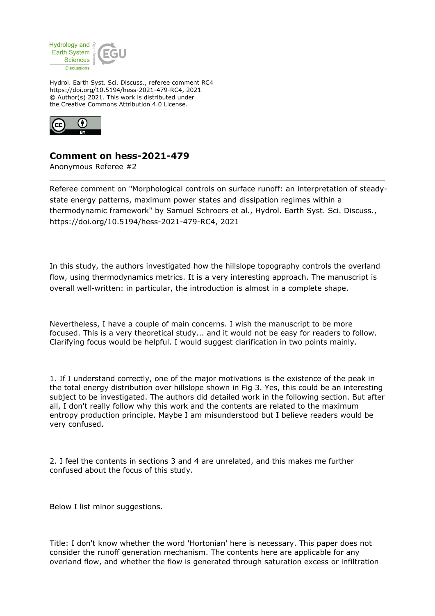

Hydrol. Earth Syst. Sci. Discuss., referee comment RC4 https://doi.org/10.5194/hess-2021-479-RC4, 2021 © Author(s) 2021. This work is distributed under the Creative Commons Attribution 4.0 License.



## **Comment on hess-2021-479**

Anonymous Referee #2

Referee comment on "Morphological controls on surface runoff: an interpretation of steadystate energy patterns, maximum power states and dissipation regimes within a thermodynamic framework" by Samuel Schroers et al., Hydrol. Earth Syst. Sci. Discuss., https://doi.org/10.5194/hess-2021-479-RC4, 2021

In this study, the authors investigated how the hillslope topography controls the overland flow, using thermodynamics metrics. It is a very interesting approach. The manuscript is overall well-written: in particular, the introduction is almost in a complete shape.

Nevertheless, I have a couple of main concerns. I wish the manuscript to be more focused. This is a very theoretical study... and it would not be easy for readers to follow. Clarifying focus would be helpful. I would suggest clarification in two points mainly.

1. If I understand correctly, one of the major motivations is the existence of the peak in the total energy distribution over hillslope shown in Fig 3. Yes, this could be an interesting subject to be investigated. The authors did detailed work in the following section. But after all, I don't really follow why this work and the contents are related to the maximum entropy production principle. Maybe I am misunderstood but I believe readers would be very confused.

2. I feel the contents in sections 3 and 4 are unrelated, and this makes me further confused about the focus of this study.

Below I list minor suggestions.

Title: I don't know whether the word 'Hortonian' here is necessary. This paper does not consider the runoff generation mechanism. The contents here are applicable for any overland flow, and whether the flow is generated through saturation excess or infiltration